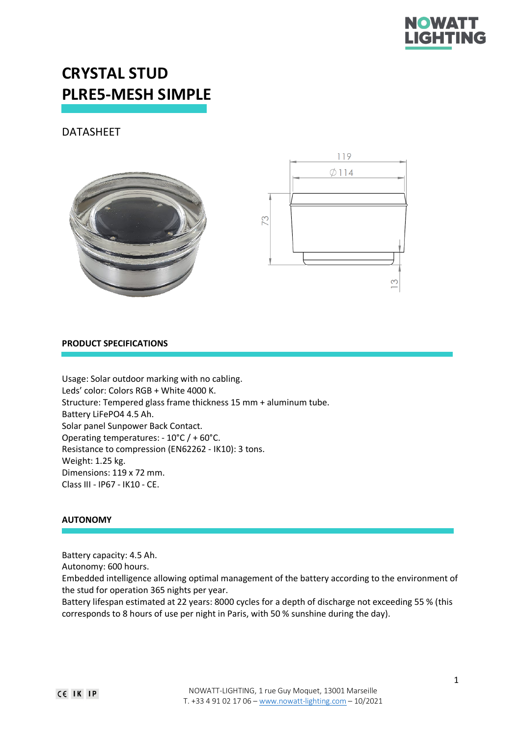

# **CRYSTAL STUD PLRE5-MESH SIMPLE**

# DATASHEET





# **PRODUCT SPECIFICATIONS**

Usage: Solar outdoor marking with no cabling. Leds' color: Colors RGB + White 4000 K. Structure: Tempered glass frame thickness 15 mm + aluminum tube. Battery LiFePO4 4.5 Ah. Solar panel Sunpower Back Contact. Operating temperatures: - 10°C / + 60°C. Resistance to compression (EN62262 - IK10): 3 tons. Weight: 1.25 kg. Dimensions: 119 x 72 mm. Class III - IP67 - IK10 - CE.

# **AUTONOMY**

Battery capacity: 4.5 Ah.

Autonomy: 600 hours.

Embedded intelligence allowing optimal management of the battery according to the environment of the stud for operation 365 nights per year.

Battery lifespan estimated at 22 years: 8000 cycles for a depth of discharge not exceeding 55 % (this corresponds to 8 hours of use per night in Paris, with 50 % sunshine during the day).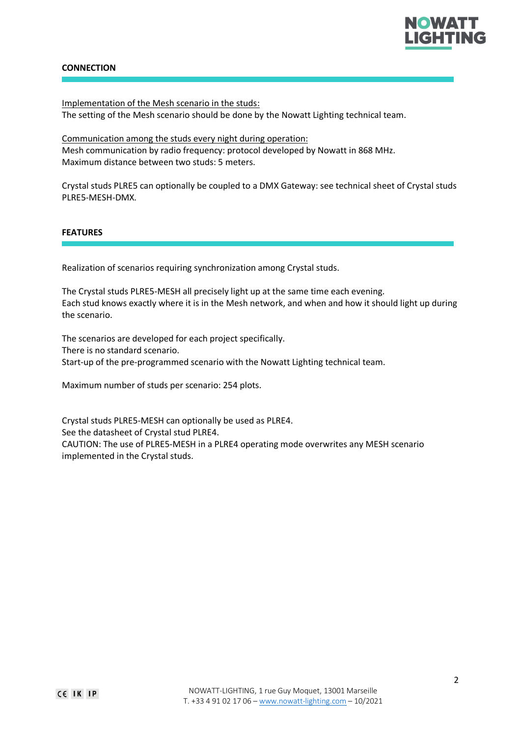

# **CONNECTION**

Implementation of the Mesh scenario in the studs: The setting of the Mesh scenario should be done by the Nowatt Lighting technical team.

Communication among the studs every night during operation: Mesh communication by radio frequency: protocol developed by Nowatt in 868 MHz. Maximum distance between two studs: 5 meters.

Crystal studs PLRE5 can optionally be coupled to a DMX Gateway: see technical sheet of Crystal studs PLRE5-MESH-DMX.

# **FEATURES**

Realization of scenarios requiring synchronization among Crystal studs.

The Crystal studs PLRE5-MESH all precisely light up at the same time each evening. Each stud knows exactly where it is in the Mesh network, and when and how it should light up during the scenario.

The scenarios are developed for each project specifically. There is no standard scenario. Start-up of the pre-programmed scenario with the Nowatt Lighting technical team.

Maximum number of studs per scenario: 254 plots.

Crystal studs PLRE5-MESH can optionally be used as PLRE4. See the datasheet of Crystal stud PLRE4. CAUTION: The use of PLRE5-MESH in a PLRE4 operating mode overwrites any MESH scenario implemented in the Crystal studs.